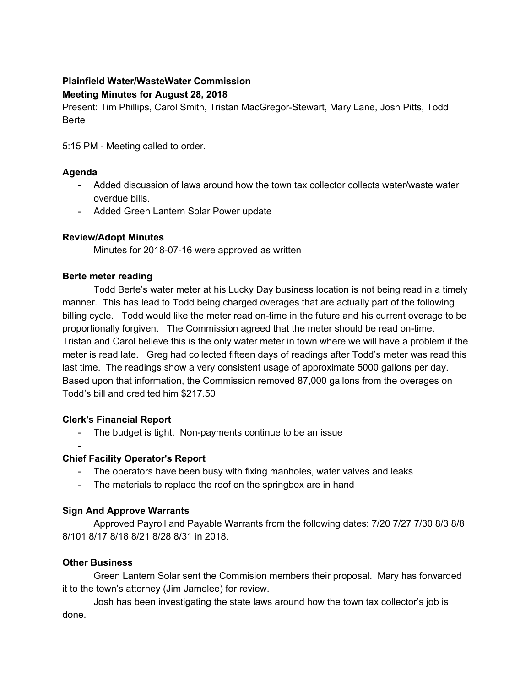# **Plainfield Water/WasteWater Commission Meeting Minutes for August 28, 2018**

Present: Tim Phillips, Carol Smith, Tristan MacGregor-Stewart, Mary Lane, Josh Pitts, Todd Berte

5:15 PM - Meeting called to order.

# **Agenda**

- Added discussion of laws around how the town tax collector collects water/waste water overdue bills.
- Added Green Lantern Solar Power update

# **Review/Adopt Minutes**

Minutes for 2018-07-16 were approved as written

#### **Berte meter reading**

Todd Berte's water meter at his Lucky Day business location is not being read in a timely manner. This has lead to Todd being charged overages that are actually part of the following billing cycle. Todd would like the meter read on-time in the future and his current overage to be proportionally forgiven. The Commission agreed that the meter should be read on-time. Tristan and Carol believe this is the only water meter in town where we will have a problem if the meter is read late. Greg had collected fifteen days of readings after Todd's meter was read this last time. The readings show a very consistent usage of approximate 5000 gallons per day. Based upon that information, the Commission removed 87,000 gallons from the overages on Todd's bill and credited him \$217.50

# **Clerk's Financial Report**

- The budget is tight. Non-payments continue to be an issue
- -

# **Chief Facility Operator's Report**

- The operators have been busy with fixing manholes, water valves and leaks
- The materials to replace the roof on the springbox are in hand

# **Sign And Approve Warrants**

Approved Payroll and Payable Warrants from the following dates: 7/20 7/27 7/30 8/3 8/8 8/101 8/17 8/18 8/21 8/28 8/31 in 2018.

# **Other Business**

Green Lantern Solar sent the Commision members their proposal. Mary has forwarded it to the town's attorney (Jim Jamelee) for review.

Josh has been investigating the state laws around how the town tax collector's job is done.